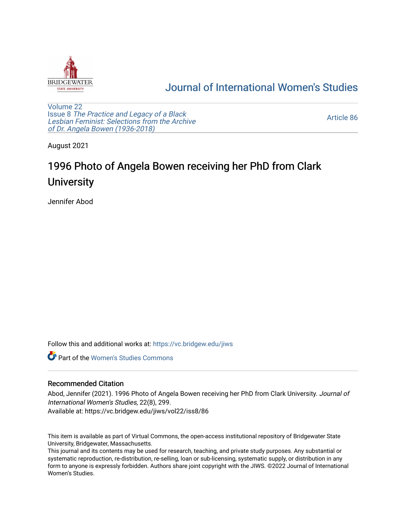

## [Journal of International Women's Studies](https://vc.bridgew.edu/jiws)

[Volume 22](https://vc.bridgew.edu/jiws/vol22) Issue 8 [The Practice and Legacy of a Black](https://vc.bridgew.edu/jiws/vol22/iss8)  [Lesbian Feminist: Selections from the Archive](https://vc.bridgew.edu/jiws/vol22/iss8)  [of Dr. Angela Bowen \(1936-2018\)](https://vc.bridgew.edu/jiws/vol22/iss8)

[Article 86](https://vc.bridgew.edu/jiws/vol22/iss8/86) 

August 2021

## 1996 Photo of Angela Bowen receiving her PhD from Clark **University**

Jennifer Abod

Follow this and additional works at: [https://vc.bridgew.edu/jiws](https://vc.bridgew.edu/jiws?utm_source=vc.bridgew.edu%2Fjiws%2Fvol22%2Fiss8%2F86&utm_medium=PDF&utm_campaign=PDFCoverPages)

**C** Part of the Women's Studies Commons

## Recommended Citation

Abod, Jennifer (2021). 1996 Photo of Angela Bowen receiving her PhD from Clark University. Journal of International Women's Studies, 22(8), 299. Available at: https://vc.bridgew.edu/jiws/vol22/iss8/86

This item is available as part of Virtual Commons, the open-access institutional repository of Bridgewater State University, Bridgewater, Massachusetts.

This journal and its contents may be used for research, teaching, and private study purposes. Any substantial or systematic reproduction, re-distribution, re-selling, loan or sub-licensing, systematic supply, or distribution in any form to anyone is expressly forbidden. Authors share joint copyright with the JIWS. ©2022 Journal of International Women's Studies.